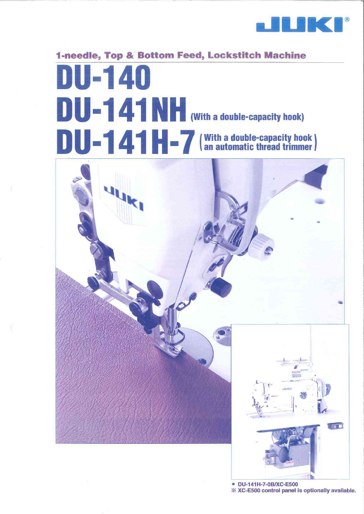

# 1-needle, Top & Bottom Feed, Lockstitch Machine DU-140 DU-141NH (With a double-capacity hook) DU-141H-7 (With a double-capacity hook)



· DU-141H-7-0B/XC-E500 \* XC-E500 control panel is optionally available.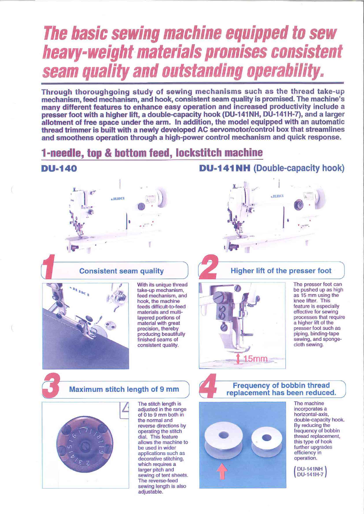# The basic sewing machine equipped to sew heavy-weight materials promises consistent seam quality and outstanding operability.

Through thoroughgoing study of sewing mechanisms such as the thread take-up mechanism, feed mechanism, and hook, consistent seam quality is promised. The machine's many different features to enhance easy operation and increased productivity include a presser foot with a higher lift, a double-capacity hook (DU-141NH, DU-141H-7), and a larger allotment of free space under the arm. In addition, the model equipped with an automatic thread trimmer is built with a newly developed AC servomotor/control box that streamlines and smoothens operation through a high-power control mechanism and quick response.

# **1-needle, top & bottom feed, lockstitch machine**

#### **DU-140**



#### **Consistent seam quality**



With its unique thread take-up mechanism. feed mechanism, and hook, the machine feeds difficult-to-feed materials and multilavered portions of material with great precision, thereby producing beautifully finished seams of consistent quality.

#### **DU-141NH** (Double-capacity hook)



### **Higher lift of the presser foot**

**Frequency of bobbin thread** 

replacement has been reduced.



The presser foot can be pushed up as high as 15 mm using the knee lifter. This feature is especially effective for sewing processes that require a higher lift of the presser foot such as piping, binding-tape sewing, and spongecloth sewing.

#### **Maximum stitch length of 9 mm**



The stitch length is adjusted in the range of 0 to 9 mm both in the normal and reverse directions by operating the stitch dial. This feature allows the machine to be used in wider applications such as decorative stitching, which requires a larger pitch and sewing of tent sheets. The reverse-feed sewing length is also adjustable.



The machine incorporates a horizontal-axis. double-capacity hook. By reducing the frequency of bobbin thread replacement, this type of hook further upgrades efficiency in operation.

**DU-141NH DU-141H-7**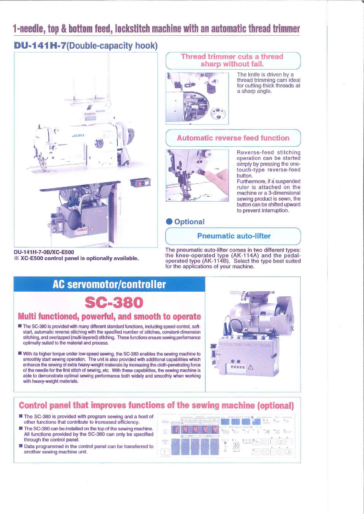# 1-needle, top & bottom feed, lockstitch machine with an automatic thread trimmer

## **DU-141H-7(Double-capacity hook)**



#### Thread trimmer cuts a thread sharp without fail.

The knife is driven by a thread trimming cam ideal for cutting thick threads at a sharp angle.

#### **Automatic reverse feed function**



D.

Reverse-feed stitching operation can be started simply by pressing the onetouch-type reverse-feed **button** 

Furthermore, if a suspended ruler is attached on the machine or a 3-dimensional sewing product is sewn, the button can be shifted upward to prevent interruption.

#### **Optional**

#### **Pneumatic auto-lifter**

DU-141H-7-0B/XC-E500 ※ XC-E500 control panel is optionally available.

The pneumatic auto-lifter comes in two different types: the knee-operated type (AK-114A) and the pedal-<br>operated type (AK-114B). Select the type best suited<br>for the applications of your machine.

# **AC servomotor/controller**

C-380

#### Multi functioned, powerful, and smooth to operate

- The SC-380 is provided with many different standard functions, including speed-control, softstart, automatic reverse stitching with the specified number of stitches, constant-dimension stitching, and overlapped (multi-layered) stitching. These functions ensure sewing performance optimally suited to the material and process.
- With its higher torque under low-speed sewing, the SC-380 enables the sewing machine to smoothly start sewing operation. The unit is also provided with additional capabilities which enhance the sewing of extra heavy-weight materials by increasing the cloth-penetrating force of the needle for the first stitch of sewing, etc. With these capabilities, the sewing machine is able to demonstrate optimal sewing performance both widely and smoothly when working with heavy-weight materials.



#### **Control panel that improves functions of the sewing machine (optional)**

- The SC-380 is provided with program sewing and a host of other functions that contribute to increased efficiency.
- The SC-380 can be installed on the top of the sewing machine. All functions provided by the SC-380 can only be specified through the control panel.
- Data programmed in the control panel can be transferred to another sewing machine unit.

| ABCO       | 平成电动  | fö                             |                                    |    |                                  |                                                  |                                         | <b>ANTI</b>    | σ             |   | útir                           | <b>ID</b>    |
|------------|-------|--------------------------------|------------------------------------|----|----------------------------------|--------------------------------------------------|-----------------------------------------|----------------|---------------|---|--------------------------------|--------------|
| t.         |       |                                |                                    |    |                                  | <b>Committee</b><br>$\mathbf{O}_{\mathcal{D}_1}$ | END BACK TACK @<br>$\frac{1}{\sqrt{2}}$ |                | <b>London</b> |   | <u>us</u>                      | SENSON:      |
| 響          | $\pm$ | œ<br>$^{\prime}$ + $^{\prime}$ | SHEP.<br>$\overline{\mathbb{R}^n}$ | a. | GIHCH<br>$\overline{\mathbb{R}}$ |                                                  |                                         | <b>January</b> |               | 꺭 | $\overline{\mathcal{L}}$<br>44 |              |
| E<br>SEMBO | ÷     | 11.4                           |                                    |    | m.                               | $\mathbb{S}^1_2$                                 | шĪ.                                     |                |               |   | $-$<br>R                       | <b>ANGEL</b> |